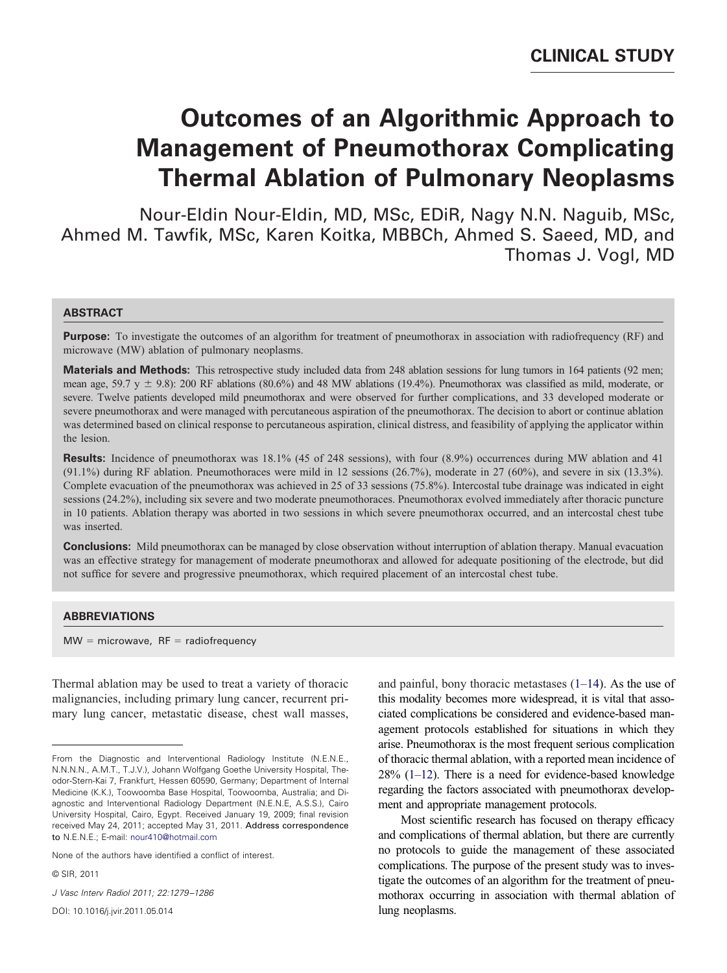# **Outcomes of an Algorithmic Approach to Management of Pneumothorax Complicating Thermal Ablation of Pulmonary Neoplasms**

Nour-Eldin Nour-Eldin, MD, MSc, EDiR, Nagy N.N. Naguib, MSc, Ahmed M. Tawfik, MSc, Karen Koitka, MBBCh, Ahmed S. Saeed, MD, and Thomas J. Vogl, MD

#### **ABSTRACT**

**Purpose:** To investigate the outcomes of an algorithm for treatment of pneumothorax in association with radiofrequency (RF) and microwave (MW) ablation of pulmonary neoplasms.

**Materials and Methods:** This retrospective study included data from 248 ablation sessions for lung tumors in 164 patients (92 men; mean age, 59.7 y  $\pm$  9.8): 200 RF ablations (80.6%) and 48 MW ablations (19.4%). Pneumothorax was classified as mild, moderate, or severe. Twelve patients developed mild pneumothorax and were observed for further complications, and 33 developed moderate or severe pneumothorax and were managed with percutaneous aspiration of the pneumothorax. The decision to abort or continue ablation was determined based on clinical response to percutaneous aspiration, clinical distress, and feasibility of applying the applicator within the lesion.

**Results:** Incidence of pneumothorax was 18.1% (45 of 248 sessions), with four (8.9%) occurrences during MW ablation and 41 (91.1%) during RF ablation. Pneumothoraces were mild in 12 sessions (26.7%), moderate in 27 (60%), and severe in six (13.3%). Complete evacuation of the pneumothorax was achieved in 25 of 33 sessions (75.8%). Intercostal tube drainage was indicated in eight sessions (24.2%), including six severe and two moderate pneumothoraces. Pneumothorax evolved immediately after thoracic puncture in 10 patients. Ablation therapy was aborted in two sessions in which severe pneumothorax occurred, and an intercostal chest tube was inserted.

**Conclusions:** Mild pneumothorax can be managed by close observation without interruption of ablation therapy. Manual evacuation was an effective strategy for management of moderate pneumothorax and allowed for adequate positioning of the electrode, but did not suffice for severe and progressive pneumothorax, which required placement of an intercostal chest tube.

#### **ABBREVIATIONS**

 $MW = microwave, RF = radiofrequency$ 

Thermal ablation may be used to treat a variety of thoracic malignancies, including primary lung cancer, recurrent primary lung cancer, metastatic disease, chest wall masses,

© SIR, 2011

*J Vasc Interv Radiol 2011; 22:1279 –1286*

DOI: 10.1016/j.jvir.2011.05.014

and painful, bony thoracic metastases  $(1-14)$ . As the use of this modality becomes more widespread, it is vital that associated complications be considered and evidence-based management protocols established for situations in which they arise. Pneumothorax is the most frequent serious complication of thoracic thermal ablation, with a reported mean incidence of  $28\%$  [\(1–12\)](#page-6-0). There is a need for evidence-based knowledge regarding the factors associated with pneumothorax development and appropriate management protocols.

Most scientific research has focused on therapy efficacy and complications of thermal ablation, but there are currently no protocols to guide the management of these associated complications. The purpose of the present study was to investigate the outcomes of an algorithm for the treatment of pneumothorax occurring in association with thermal ablation of lung neoplasms.

From the Diagnostic and Interventional Radiology Institute (N.E.N.E., N.N.N.N., A.M.T., T.J.V.), Johann Wolfgang Goethe University Hospital, Theodor-Stern-Kai 7, Frankfurt, Hessen 60590, Germany; Department of Internal Medicine (K.K.), Toowoomba Base Hospital, Toowoomba, Australia; and Diagnostic and Interventional Radiology Department (N.E.N.E, A.S.S.), Cairo University Hospital, Cairo, Egypt. Received January 19, 2009; final revision received May 24, 2011; accepted May 31, 2011. Address correspondence to N.E.N.E.; E-mail: [nour410@hotmail.com](mailto:nour410@hotmail.com)

None of the authors have identified a conflict of interest.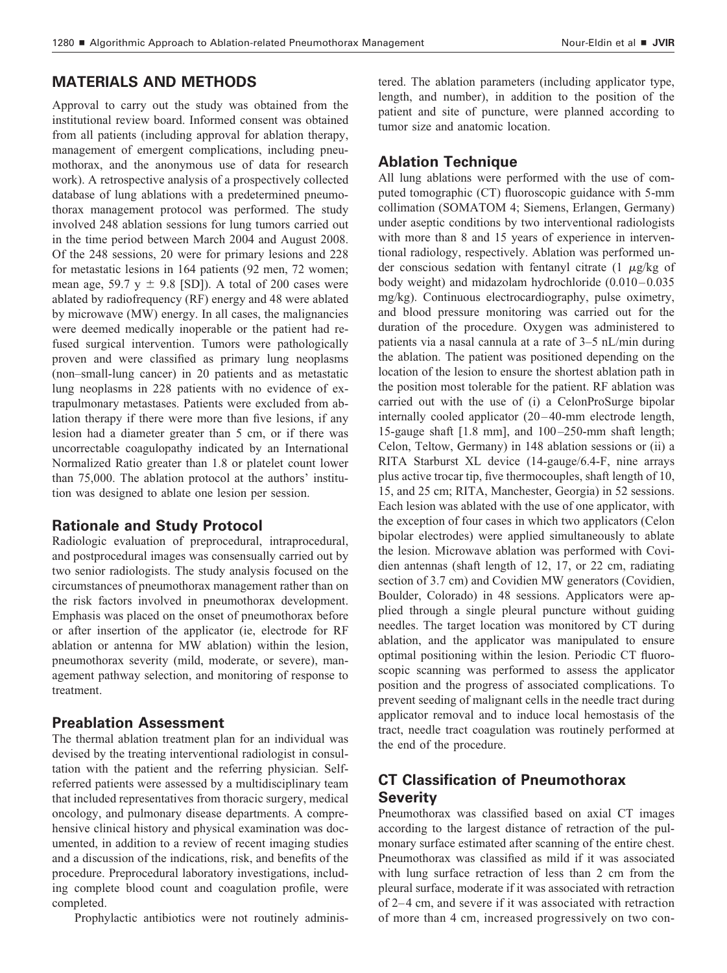## **MATERIALS AND METHODS**

Approval to carry out the study was obtained from the institutional review board. Informed consent was obtained from all patients (including approval for ablation therapy, management of emergent complications, including pneumothorax, and the anonymous use of data for research work). A retrospective analysis of a prospectively collected database of lung ablations with a predetermined pneumothorax management protocol was performed. The study involved 248 ablation sessions for lung tumors carried out in the time period between March 2004 and August 2008. Of the 248 sessions, 20 were for primary lesions and 228 for metastatic lesions in 164 patients (92 men, 72 women; mean age, 59.7 y  $\pm$  9.8 [SD]). A total of 200 cases were ablated by radiofrequency (RF) energy and 48 were ablated by microwave (MW) energy. In all cases, the malignancies were deemed medically inoperable or the patient had refused surgical intervention. Tumors were pathologically proven and were classified as primary lung neoplasms (non–small-lung cancer) in 20 patients and as metastatic lung neoplasms in 228 patients with no evidence of extrapulmonary metastases. Patients were excluded from ablation therapy if there were more than five lesions, if any lesion had a diameter greater than 5 cm, or if there was uncorrectable coagulopathy indicated by an International Normalized Ratio greater than 1.8 or platelet count lower than 75,000. The ablation protocol at the authors' institution was designed to ablate one lesion per session.

#### **Rationale and Study Protocol**

Radiologic evaluation of preprocedural, intraprocedural, and postprocedural images was consensually carried out by two senior radiologists. The study analysis focused on the circumstances of pneumothorax management rather than on the risk factors involved in pneumothorax development. Emphasis was placed on the onset of pneumothorax before or after insertion of the applicator (ie, electrode for RF ablation or antenna for MW ablation) within the lesion, pneumothorax severity (mild, moderate, or severe), management pathway selection, and monitoring of response to treatment.

## **Preablation Assessment**

The thermal ablation treatment plan for an individual was devised by the treating interventional radiologist in consultation with the patient and the referring physician. Selfreferred patients were assessed by a multidisciplinary team that included representatives from thoracic surgery, medical oncology, and pulmonary disease departments. A comprehensive clinical history and physical examination was documented, in addition to a review of recent imaging studies and a discussion of the indications, risk, and benefits of the procedure. Preprocedural laboratory investigations, including complete blood count and coagulation profile, were completed.

Prophylactic antibiotics were not routinely adminis-

tered. The ablation parameters (including applicator type, length, and number), in addition to the position of the patient and site of puncture, were planned according to tumor size and anatomic location.

#### **Ablation Technique**

All lung ablations were performed with the use of computed tomographic (CT) fluoroscopic guidance with 5-mm collimation (SOMATOM 4; Siemens, Erlangen, Germany) under aseptic conditions by two interventional radiologists with more than 8 and 15 years of experience in interventional radiology, respectively. Ablation was performed under conscious sedation with fentanyl citrate  $(1 \mu g/kg)$  of body weight) and midazolam hydrochloride  $(0.010 - 0.035)$ mg/kg). Continuous electrocardiography, pulse oximetry, and blood pressure monitoring was carried out for the duration of the procedure. Oxygen was administered to patients via a nasal cannula at a rate of 3–5 nL/min during the ablation. The patient was positioned depending on the location of the lesion to ensure the shortest ablation path in the position most tolerable for the patient. RF ablation was carried out with the use of (i) a CelonProSurge bipolar internally cooled applicator (20 – 40-mm electrode length, 15-gauge shaft [1.8 mm], and 100 –250-mm shaft length; Celon, Teltow, Germany) in 148 ablation sessions or (ii) a RITA Starburst XL device (14-gauge/6.4-F, nine arrays plus active trocar tip, five thermocouples, shaft length of 10, 15, and 25 cm; RITA, Manchester, Georgia) in 52 sessions. Each lesion was ablated with the use of one applicator, with the exception of four cases in which two applicators (Celon bipolar electrodes) were applied simultaneously to ablate the lesion. Microwave ablation was performed with Covidien antennas (shaft length of 12, 17, or 22 cm, radiating section of 3.7 cm) and Covidien MW generators (Covidien, Boulder, Colorado) in 48 sessions. Applicators were applied through a single pleural puncture without guiding needles. The target location was monitored by CT during ablation, and the applicator was manipulated to ensure optimal positioning within the lesion. Periodic CT fluoroscopic scanning was performed to assess the applicator position and the progress of associated complications. To prevent seeding of malignant cells in the needle tract during applicator removal and to induce local hemostasis of the tract, needle tract coagulation was routinely performed at the end of the procedure.

# **CT Classification of Pneumothorax Severity**

Pneumothorax was classified based on axial CT images according to the largest distance of retraction of the pulmonary surface estimated after scanning of the entire chest. Pneumothorax was classified as mild if it was associated with lung surface retraction of less than 2 cm from the pleural surface, moderate if it was associated with retraction of 2– 4 cm, and severe if it was associated with retraction of more than 4 cm, increased progressively on two con-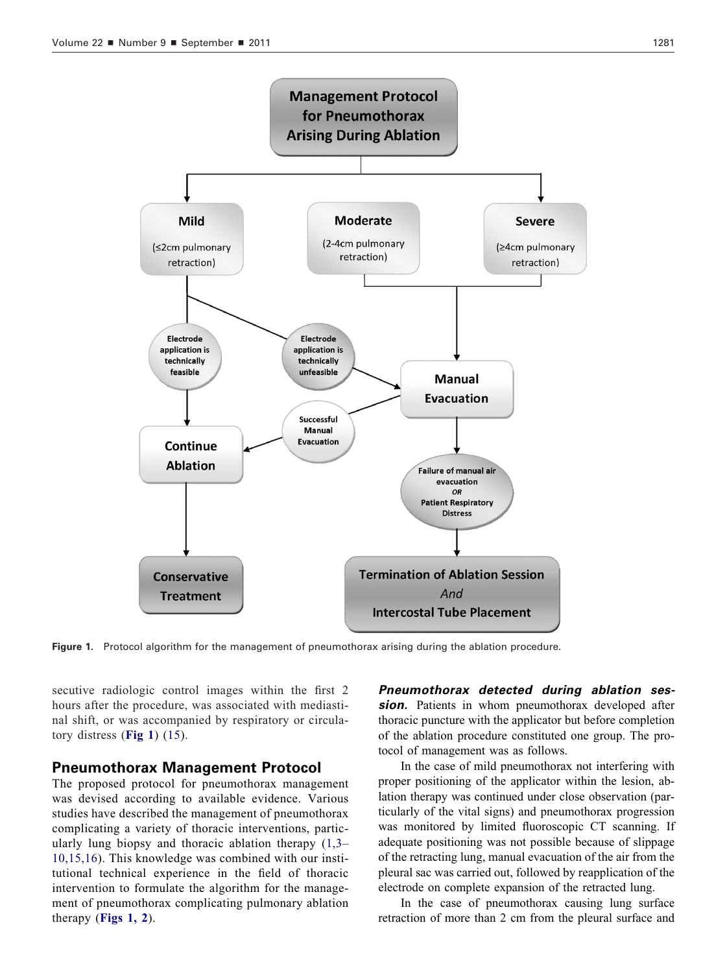

<span id="page-2-0"></span>**Figure 1.** Protocol algorithm for the management of pneumothorax arising during the ablation procedure.

secutive radiologic control images within the first 2 hours after the procedure, was associated with mediastinal shift, or was accompanied by respiratory or circulatory distress (**[Fig 1](#page-2-0)**) [\(15\)](#page-7-0).

#### **Pneumothorax Management Protocol**

The proposed protocol for pneumothorax management was devised according to available evidence. Various studies have described the management of pneumothorax complicating a variety of thoracic interventions, particularly lung biopsy and thoracic ablation therapy  $(1,3-$ [10,15,16\)](#page-6-0). This knowledge was combined with our institutional technical experience in the field of thoracic intervention to formulate the algorithm for the management of pneumothorax complicating pulmonary ablation therapy (**Figs 1, 2**).

*Pneumothorax detected during ablation ses***sion.** Patients in whom pneumothorax developed after thoracic puncture with the applicator but before completion of the ablation procedure constituted one group. The protocol of management was as follows.

In the case of mild pneumothorax not interfering with proper positioning of the applicator within the lesion, ablation therapy was continued under close observation (particularly of the vital signs) and pneumothorax progression was monitored by limited fluoroscopic CT scanning. If adequate positioning was not possible because of slippage of the retracting lung, manual evacuation of the air from the pleural sac was carried out, followed by reapplication of the electrode on complete expansion of the retracted lung.

In the case of pneumothorax causing lung surface retraction of more than 2 cm from the pleural surface and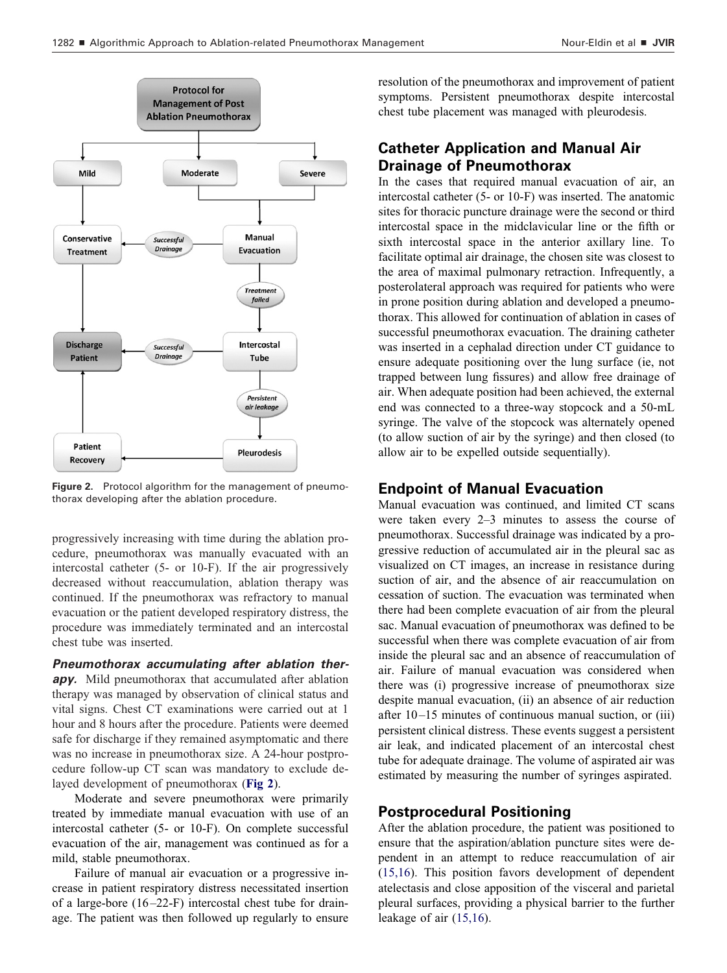

<span id="page-3-0"></span>**Figure 2.** Protocol algorithm for the management of pneumothorax developing after the ablation procedure.

progressively increasing with time during the ablation procedure, pneumothorax was manually evacuated with an intercostal catheter (5- or 10-F). If the air progressively decreased without reaccumulation, ablation therapy was continued. If the pneumothorax was refractory to manual evacuation or the patient developed respiratory distress, the procedure was immediately terminated and an intercostal chest tube was inserted.

*Pneumothorax accumulating after ablation therapy.* Mild pneumothorax that accumulated after ablation therapy was managed by observation of clinical status and vital signs. Chest CT examinations were carried out at 1 hour and 8 hours after the procedure. Patients were deemed safe for discharge if they remained asymptomatic and there was no increase in pneumothorax size. A 24-hour postprocedure follow-up CT scan was mandatory to exclude delayed development of pneumothorax (**[Fig 2](#page-3-0)**).

Moderate and severe pneumothorax were primarily treated by immediate manual evacuation with use of an intercostal catheter (5- or 10-F). On complete successful evacuation of the air, management was continued as for a mild, stable pneumothorax.

Failure of manual air evacuation or a progressive increase in patient respiratory distress necessitated insertion of a large-bore (16 –22-F) intercostal chest tube for drainage. The patient was then followed up regularly to ensure

resolution of the pneumothorax and improvement of patient symptoms. Persistent pneumothorax despite intercostal chest tube placement was managed with pleurodesis.

# **Catheter Application and Manual Air Drainage of Pneumothorax**

In the cases that required manual evacuation of air, an intercostal catheter (5- or 10-F) was inserted. The anatomic sites for thoracic puncture drainage were the second or third intercostal space in the midclavicular line or the fifth or sixth intercostal space in the anterior axillary line. To facilitate optimal air drainage, the chosen site was closest to the area of maximal pulmonary retraction. Infrequently, a posterolateral approach was required for patients who were in prone position during ablation and developed a pneumothorax. This allowed for continuation of ablation in cases of successful pneumothorax evacuation. The draining catheter was inserted in a cephalad direction under CT guidance to ensure adequate positioning over the lung surface (ie, not trapped between lung fissures) and allow free drainage of air. When adequate position had been achieved, the external end was connected to a three-way stopcock and a 50-mL syringe. The valve of the stopcock was alternately opened (to allow suction of air by the syringe) and then closed (to allow air to be expelled outside sequentially).

#### **Endpoint of Manual Evacuation**

Manual evacuation was continued, and limited CT scans were taken every 2–3 minutes to assess the course of pneumothorax. Successful drainage was indicated by a progressive reduction of accumulated air in the pleural sac as visualized on CT images, an increase in resistance during suction of air, and the absence of air reaccumulation on cessation of suction. The evacuation was terminated when there had been complete evacuation of air from the pleural sac. Manual evacuation of pneumothorax was defined to be successful when there was complete evacuation of air from inside the pleural sac and an absence of reaccumulation of air. Failure of manual evacuation was considered when there was (i) progressive increase of pneumothorax size despite manual evacuation, (ii) an absence of air reduction after  $10-15$  minutes of continuous manual suction, or (iii) persistent clinical distress. These events suggest a persistent air leak, and indicated placement of an intercostal chest tube for adequate drainage. The volume of aspirated air was estimated by measuring the number of syringes aspirated.

#### **Postprocedural Positioning**

After the ablation procedure, the patient was positioned to ensure that the aspiration/ablation puncture sites were dependent in an attempt to reduce reaccumulation of air [\(15,16\)](#page-7-0). This position favors development of dependent atelectasis and close apposition of the visceral and parietal pleural surfaces, providing a physical barrier to the further leakage of air [\(15,16\)](#page-7-0).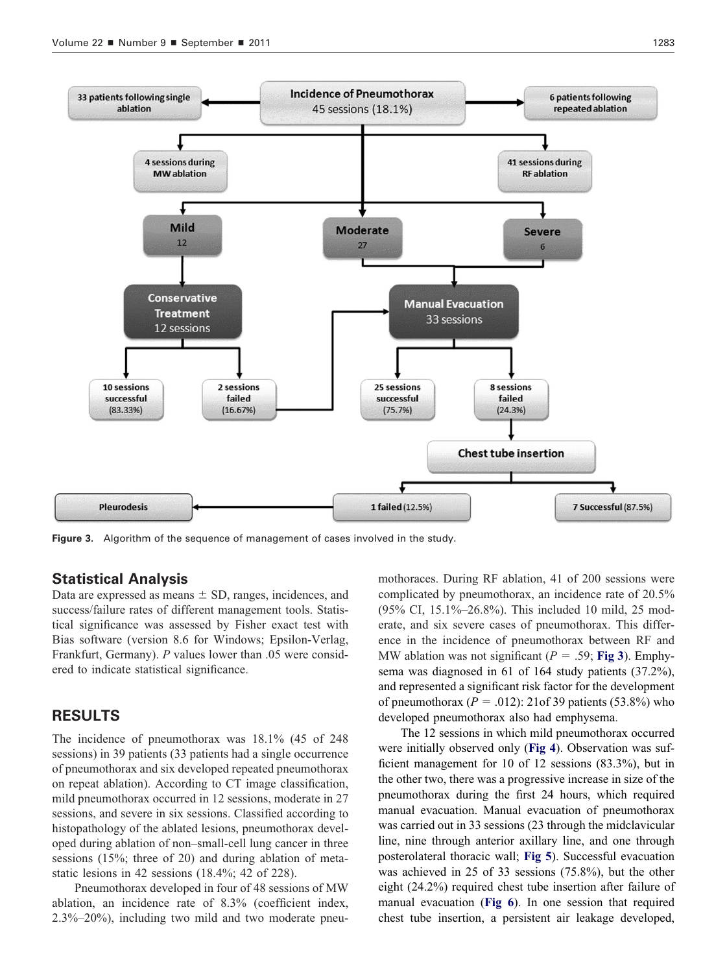

<span id="page-4-0"></span>**Figure 3.** Algorithm of the sequence of management of cases involved in the study.

#### **Statistical Analysis**

Data are expressed as means  $\pm$  SD, ranges, incidences, and success/failure rates of different management tools. Statistical significance was assessed by Fisher exact test with Bias software (version 8.6 for Windows; Epsilon-Verlag, Frankfurt, Germany). *P* values lower than .05 were considered to indicate statistical significance.

## **RESULTS**

The incidence of pneumothorax was 18.1% (45 of 248 sessions) in 39 patients (33 patients had a single occurrence of pneumothorax and six developed repeated pneumothorax on repeat ablation). According to CT image classification, mild pneumothorax occurred in 12 sessions, moderate in 27 sessions, and severe in six sessions. Classified according to histopathology of the ablated lesions, pneumothorax developed during ablation of non–small-cell lung cancer in three sessions (15%; three of 20) and during ablation of metastatic lesions in 42 sessions (18.4%; 42 of 228).

Pneumothorax developed in four of 48 sessions of MW ablation, an incidence rate of 8.3% (coefficient index, 2.3%–20%), including two mild and two moderate pneumothoraces. During RF ablation, 41 of 200 sessions were complicated by pneumothorax, an incidence rate of 20.5% (95% CI, 15.1%–26.8%). This included 10 mild, 25 moderate, and six severe cases of pneumothorax. This difference in the incidence of pneumothorax between RF and MW ablation was not significant ( $P = .59$ ; **[Fig 3](#page-4-0)**). Emphysema was diagnosed in 61 of 164 study patients (37.2%), and represented a significant risk factor for the development of pneumothorax  $(P = .012)$ : 21of 39 patients (53.8%) who developed pneumothorax also had emphysema.

The 12 sessions in which mild pneumothorax occurred were initially observed only (**[Fig 4](#page-5-0)**). Observation was sufficient management for 10 of 12 sessions (83.3%), but in the other two, there was a progressive increase in size of the pneumothorax during the first 24 hours, which required manual evacuation. Manual evacuation of pneumothorax was carried out in 33 sessions (23 through the midclavicular line, nine through anterior axillary line, and one through posterolateral thoracic wall; **[Fig 5](#page-5-1)**). Successful evacuation was achieved in 25 of 33 sessions (75.8%), but the other eight (24.2%) required chest tube insertion after failure of manual evacuation (**[Fig 6](#page-5-2)**). In one session that required chest tube insertion, a persistent air leakage developed,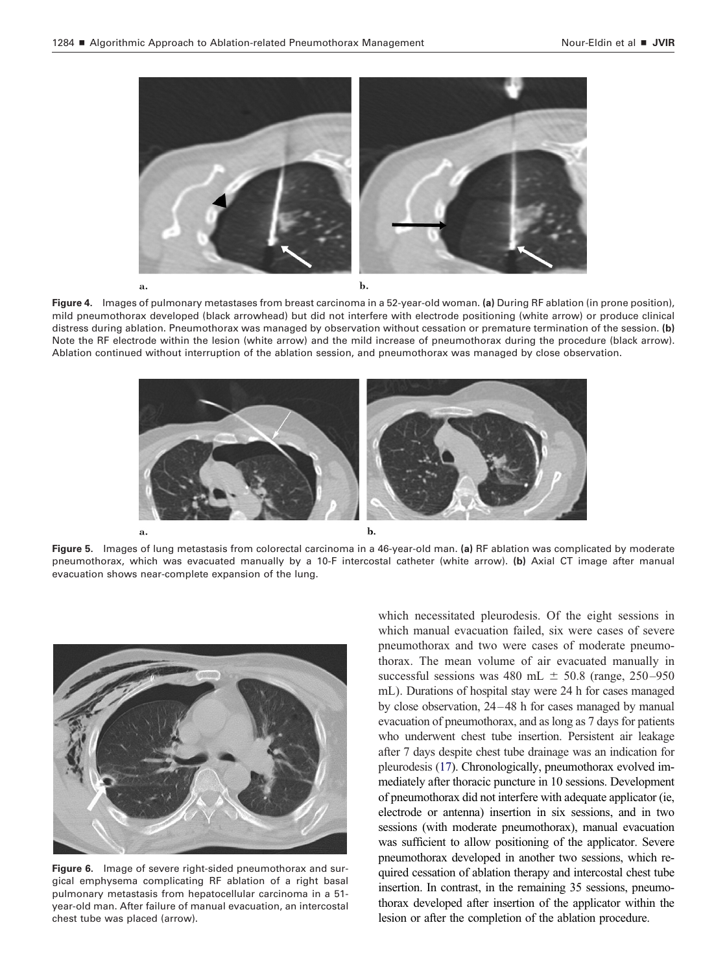

<span id="page-5-0"></span>**Figure 4.** Images of pulmonary metastases from breast carcinoma in a 52-year-old woman. **(a)** During RF ablation (in prone position), mild pneumothorax developed (black arrowhead) but did not interfere with electrode positioning (white arrow) or produce clinical distress during ablation. Pneumothorax was managed by observation without cessation or premature termination of the session. **(b)** Note the RF electrode within the lesion (white arrow) and the mild increase of pneumothorax during the procedure (black arrow). Ablation continued without interruption of the ablation session, and pneumothorax was managed by close observation.



<span id="page-5-1"></span>**Figure 5.** Images of lung metastasis from colorectal carcinoma in a 46-year-old man. **(a)** RF ablation was complicated by moderate pneumothorax, which was evacuated manually by a 10-F intercostal catheter (white arrow). **(b)** Axial CT image after manual evacuation shows near-complete expansion of the lung.

<span id="page-5-2"></span>

**Figure 6.** Image of severe right-sided pneumothorax and surgical emphysema complicating RF ablation of a right basal pulmonary metastasis from hepatocellular carcinoma in a 51 year-old man. After failure of manual evacuation, an intercostal chest tube was placed (arrow).

which necessitated pleurodesis. Of the eight sessions in which manual evacuation failed, six were cases of severe pneumothorax and two were cases of moderate pneumothorax. The mean volume of air evacuated manually in successful sessions was 480 mL  $\pm$  50.8 (range, 250–950) mL). Durations of hospital stay were 24 h for cases managed by close observation, 24 – 48 h for cases managed by manual evacuation of pneumothorax, and as long as 7 days for patients who underwent chest tube insertion. Persistent air leakage after 7 days despite chest tube drainage was an indication for pleurodesis [\(17\)](#page-7-1). Chronologically, pneumothorax evolved immediately after thoracic puncture in 10 sessions. Development of pneumothorax did not interfere with adequate applicator (ie, electrode or antenna) insertion in six sessions, and in two sessions (with moderate pneumothorax), manual evacuation was sufficient to allow positioning of the applicator. Severe pneumothorax developed in another two sessions, which required cessation of ablation therapy and intercostal chest tube insertion. In contrast, in the remaining 35 sessions, pneumothorax developed after insertion of the applicator within the lesion or after the completion of the ablation procedure.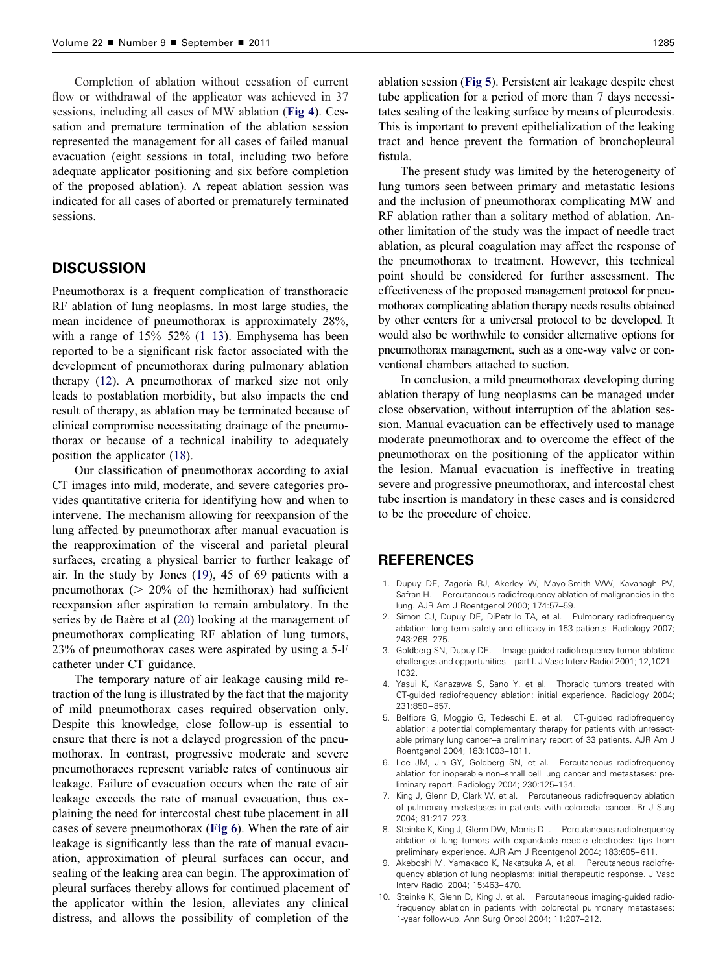Completion of ablation without cessation of current flow or withdrawal of the applicator was achieved in 37 sessions, including all cases of MW ablation (**[Fig 4](#page-5-0)**). Cessation and premature termination of the ablation session represented the management for all cases of failed manual evacuation (eight sessions in total, including two before adequate applicator positioning and six before completion of the proposed ablation). A repeat ablation session was indicated for all cases of aborted or prematurely terminated sessions.

### **DISCUSSION**

Pneumothorax is a frequent complication of transthoracic RF ablation of lung neoplasms. In most large studies, the mean incidence of pneumothorax is approximately 28%, with a range of  $15\% - 52\%$  [\(1–13\)](#page-6-0). Emphysema has been reported to be a significant risk factor associated with the development of pneumothorax during pulmonary ablation therapy [\(12\)](#page-7-2). A pneumothorax of marked size not only leads to postablation morbidity, but also impacts the end result of therapy, as ablation may be terminated because of clinical compromise necessitating drainage of the pneumothorax or because of a technical inability to adequately position the applicator [\(18\)](#page-7-3).

Our classification of pneumothorax according to axial CT images into mild, moderate, and severe categories provides quantitative criteria for identifying how and when to intervene. The mechanism allowing for reexpansion of the lung affected by pneumothorax after manual evacuation is the reapproximation of the visceral and parietal pleural surfaces, creating a physical barrier to further leakage of air. In the study by Jones [\(19\)](#page-7-4), 45 of 69 patients with a pneumothorax  $($   $>$  20% of the hemithorax) had sufficient reexpansion after aspiration to remain ambulatory. In the series by de Baère et al [\(20\)](#page-7-5) looking at the management of pneumothorax complicating RF ablation of lung tumors, 23% of pneumothorax cases were aspirated by using a 5-F catheter under CT guidance.

The temporary nature of air leakage causing mild retraction of the lung is illustrated by the fact that the majority of mild pneumothorax cases required observation only. Despite this knowledge, close follow-up is essential to ensure that there is not a delayed progression of the pneumothorax. In contrast, progressive moderate and severe pneumothoraces represent variable rates of continuous air leakage. Failure of evacuation occurs when the rate of air leakage exceeds the rate of manual evacuation, thus explaining the need for intercostal chest tube placement in all cases of severe pneumothorax (**[Fig 6](#page-5-2)**). When the rate of air leakage is significantly less than the rate of manual evacuation, approximation of pleural surfaces can occur, and sealing of the leaking area can begin. The approximation of pleural surfaces thereby allows for continued placement of the applicator within the lesion, alleviates any clinical distress, and allows the possibility of completion of the

ablation session (**[Fig 5](#page-5-1)**). Persistent air leakage despite chest tube application for a period of more than 7 days necessitates sealing of the leaking surface by means of pleurodesis. This is important to prevent epithelialization of the leaking tract and hence prevent the formation of bronchopleural fistula.

The present study was limited by the heterogeneity of lung tumors seen between primary and metastatic lesions and the inclusion of pneumothorax complicating MW and RF ablation rather than a solitary method of ablation. Another limitation of the study was the impact of needle tract ablation, as pleural coagulation may affect the response of the pneumothorax to treatment. However, this technical point should be considered for further assessment. The effectiveness of the proposed management protocol for pneumothorax complicating ablation therapy needs results obtained by other centers for a universal protocol to be developed. It would also be worthwhile to consider alternative options for pneumothorax management, such as a one-way valve or conventional chambers attached to suction.

In conclusion, a mild pneumothorax developing during ablation therapy of lung neoplasms can be managed under close observation, without interruption of the ablation session. Manual evacuation can be effectively used to manage moderate pneumothorax and to overcome the effect of the pneumothorax on the positioning of the applicator within the lesion. Manual evacuation is ineffective in treating severe and progressive pneumothorax, and intercostal chest tube insertion is mandatory in these cases and is considered to be the procedure of choice.

## <span id="page-6-0"></span>**REFERENCES**

- 1. Dupuy DE, Zagoria RJ, Akerley W, Mayo-Smith WW, Kavanagh PV, Safran H. Percutaneous radiofrequency ablation of malignancies in the lung. AJR Am J Roentgenol 2000; 174:57–59.
- 2. Simon CJ, Dupuy DE, DiPetrillo TA, et al. Pulmonary radiofrequency ablation: long term safety and efficacy in 153 patients. Radiology 2007; 243:268 –275.
- 3. Goldberg SN, Dupuy DE. Image-guided radiofrequency tumor ablation: challenges and opportunities—part I. J Vasc Interv Radiol 2001; 12,1021– 1032.
- 4. Yasui K, Kanazawa S, Sano Y, et al. Thoracic tumors treated with CT-guided radiofrequency ablation: initial experience. Radiology 2004; 231:850 – 857.
- 5. Belfiore G, Moggio G, Tedeschi E, et al. CT-guided radiofrequency ablation: a potential complementary therapy for patients with unresectable primary lung cancer-a preliminary report of 33 patients. AJR Am J Roentgenol 2004; 183:1003–1011.
- 6. Lee JM, Jin GY, Goldberg SN, et al. Percutaneous radiofrequency ablation for inoperable non–small cell lung cancer and metastases: preliminary report. Radiology 2004; 230:125–134.
- 7. King J, Glenn D, Clark W, et al. Percutaneous radiofrequency ablation of pulmonary metastases in patients with colorectal cancer. Br J Surg 2004; 91:217–223.
- 8. Steinke K, King J, Glenn DW, Morris DL. Percutaneous radiofrequency ablation of lung tumors with expandable needle electrodes: tips from preliminary experience. AJR Am J Roentgenol 2004; 183:605-611.
- 9. Akeboshi M, Yamakado K, Nakatsuka A, et al. Percutaneous radiofrequency ablation of lung neoplasms: initial therapeutic response. J Vasc Interv Radiol 2004; 15:463– 470.
- 10. Steinke K, Glenn D, King J, et al. Percutaneous imaging-guided radiofrequency ablation in patients with colorectal pulmonary metastases: 1-year follow-up. Ann Surg Oncol 2004; 11:207–212.